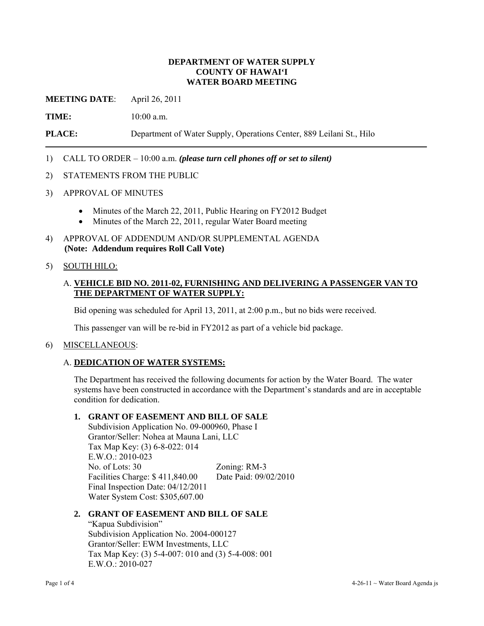### **DEPARTMENT OF WATER SUPPLY COUNTY OF HAWAI'I WATER BOARD MEETING**

**MEETING DATE**: April 26, 2011

**TIME:** 10:00 a.m.

**PLACE:** Department of Water Supply, Operations Center, 889 Leilani St., Hilo

## 1) CALL TO ORDER – 10:00 a.m. *(please turn cell phones off or set to silent)*

- 2) STATEMENTS FROM THE PUBLIC
- 3) APPROVAL OF MINUTES
	- Minutes of the March 22, 2011, Public Hearing on FY2012 Budget
	- Minutes of the March 22, 2011, regular Water Board meeting
- 4) APPROVAL OF ADDENDUM AND/OR SUPPLEMENTAL AGENDA **(Note: Addendum requires Roll Call Vote)**

## 5) SOUTH HILO:

### A. **VEHICLE BID NO. 2011-02, FURNISHING AND DELIVERING A PASSENGER VAN TO THE DEPARTMENT OF WATER SUPPLY:**

Bid opening was scheduled for April 13, 2011, at 2:00 p.m., but no bids were received.

This passenger van will be re-bid in FY2012 as part of a vehicle bid package.

#### 6) MISCELLANEOUS:

#### A. **DEDICATION OF WATER SYSTEMS:**

The Department has received the following documents for action by the Water Board. The water systems have been constructed in accordance with the Department's standards and are in acceptable condition for dedication.

### **1. GRANT OF EASEMENT AND BILL OF SALE**

Subdivision Application No. 09-000960, Phase I Grantor/Seller: Nohea at Mauna Lani, LLC Tax Map Key: (3) 6-8-022: 014 E.W.O.: 2010-023 No. of Lots: 30 Zoning: RM-3 Facilities Charge: \$ 411,840.00 Date Paid: 09/02/2010 Final Inspection Date: 04/12/2011 Water System Cost: \$305,607.00

### **2. GRANT OF EASEMENT AND BILL OF SALE**

"Kapua Subdivision" Subdivision Application No. 2004-000127 Grantor/Seller: EWM Investments, LLC Tax Map Key: (3) 5-4-007: 010 and (3) 5-4-008: 001 E.W.O.: 2010-027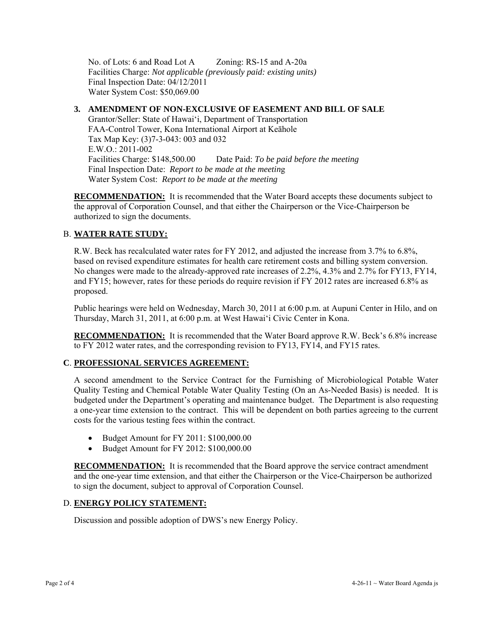No. of Lots: 6 and Road Lot A Zoning: RS-15 and A-20a Facilities Charge: *Not applicable (previously paid: existing units)* Final Inspection Date: 04/12/2011 Water System Cost: \$50,069.00

### **3. AMENDMENT OF NON-EXCLUSIVE OF EASEMENT AND BILL OF SALE**

Grantor/Seller: State of Hawai'i, Department of Transportation FAA-Control Tower, Kona International Airport at Keāhole Tax Map Key: (3)7-3-043: 003 and 032 E.W.O.: 2011-002 Facilities Charge: \$148,500.00 Date Paid: *To be paid before the meeting*  Final Inspection Date: *Report to be made at the meetin*g Water System Cost: *Report to be made at the meeting* 

**RECOMMENDATION:** It is recommended that the Water Board accepts these documents subject to the approval of Corporation Counsel, and that either the Chairperson or the Vice-Chairperson be authorized to sign the documents.

### B. **WATER RATE STUDY:**

R.W. Beck has recalculated water rates for FY 2012, and adjusted the increase from 3.7% to 6.8%, based on revised expenditure estimates for health care retirement costs and billing system conversion. No changes were made to the already-approved rate increases of 2.2%, 4.3% and 2.7% for FY13, FY14, and FY15; however, rates for these periods do require revision if FY 2012 rates are increased 6.8% as proposed.

Public hearings were held on Wednesday, March 30, 2011 at 6:00 p.m. at Aupuni Center in Hilo, and on Thursday, March 31, 2011, at 6:00 p.m. at West Hawai'i Civic Center in Kona.

**RECOMMENDATION:** It is recommended that the Water Board approve R.W. Beck's 6.8% increase to FY 2012 water rates, and the corresponding revision to FY13, FY14, and FY15 rates.

#### **C**. **PROFESSIONAL SERVICES AGREEMENT:**

A second amendment to the Service Contract for the Furnishing of Microbiological Potable Water Quality Testing and Chemical Potable Water Quality Testing (On an As-Needed Basis) is needed. It is budgeted under the Department's operating and maintenance budget. The Department is also requesting a one-year time extension to the contract. This will be dependent on both parties agreeing to the current costs for the various testing fees within the contract.

- Budget Amount for FY 2011: \$100,000.00
- Budget Amount for FY 2012: \$100,000.00

**RECOMMENDATION:** It is recommended that the Board approve the service contract amendment and the one-year time extension, and that either the Chairperson or the Vice-Chairperson be authorized to sign the document, subject to approval of Corporation Counsel.

#### D. **ENERGY POLICY STATEMENT:**

Discussion and possible adoption of DWS's new Energy Policy.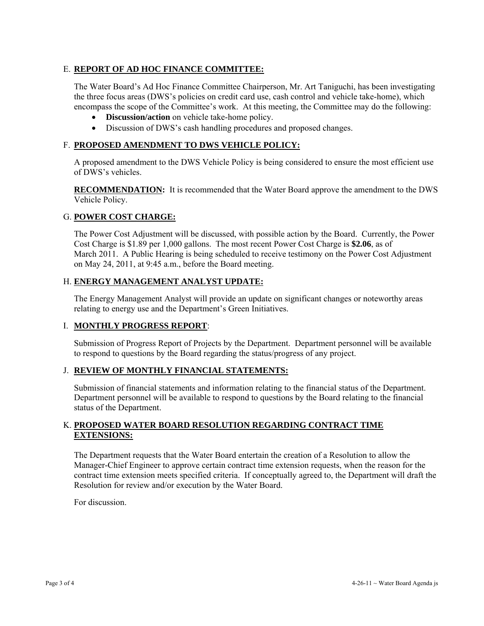# E. **REPORT OF AD HOC FINANCE COMMITTEE:**

The Water Board's Ad Hoc Finance Committee Chairperson, Mr. Art Taniguchi, has been investigating the three focus areas (DWS's policies on credit card use, cash control and vehicle take-home), which encompass the scope of the Committee's work. At this meeting, the Committee may do the following:

- **Discussion/action** on vehicle take-home policy.
- Discussion of DWS's cash handling procedures and proposed changes.

## F. **PROPOSED AMENDMENT TO DWS VEHICLE POLICY:**

A proposed amendment to the DWS Vehicle Policy is being considered to ensure the most efficient use of DWS's vehicles.

**RECOMMENDATION:** It is recommended that the Water Board approve the amendment to the DWS Vehicle Policy.

### G. **POWER COST CHARGE:**

The Power Cost Adjustment will be discussed, with possible action by the Board. Currently, the Power Cost Charge is \$1.89 per 1,000 gallons. The most recent Power Cost Charge is **\$2.06**, as of March 2011. A Public Hearing is being scheduled to receive testimony on the Power Cost Adjustment on May 24, 2011, at 9:45 a.m., before the Board meeting.

### H. **ENERGY MANAGEMENT ANALYST UPDATE:**

The Energy Management Analyst will provide an update on significant changes or noteworthy areas relating to energy use and the Department's Green Initiatives.

### I. **MONTHLY PROGRESS REPORT**:

Submission of Progress Report of Projects by the Department. Department personnel will be available to respond to questions by the Board regarding the status/progress of any project.

### J. **REVIEW OF MONTHLY FINANCIAL STATEMENTS:**

Submission of financial statements and information relating to the financial status of the Department. Department personnel will be available to respond to questions by the Board relating to the financial status of the Department.

### K. **PROPOSED WATER BOARD RESOLUTION REGARDING CONTRACT TIME EXTENSIONS:**

The Department requests that the Water Board entertain the creation of a Resolution to allow the Manager-Chief Engineer to approve certain contract time extension requests, when the reason for the contract time extension meets specified criteria. If conceptually agreed to, the Department will draft the Resolution for review and/or execution by the Water Board.

For discussion.